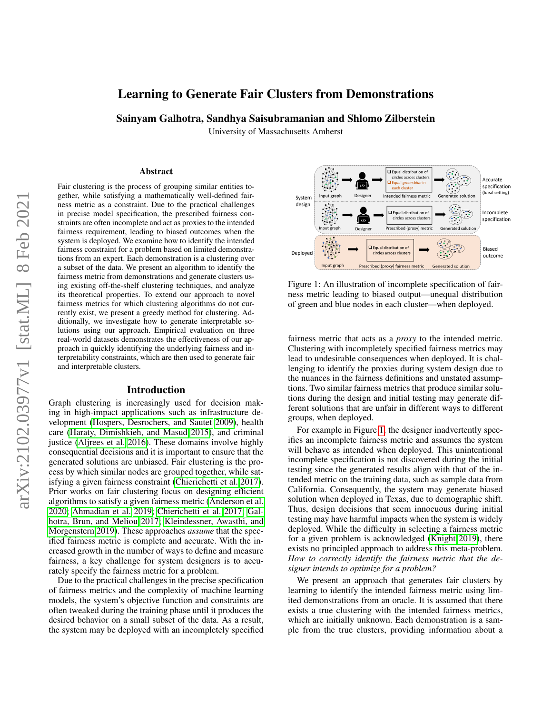# Learning to Generate Fair Clusters from Demonstrations

Sainyam Galhotra, Sandhya Saisubramanian and Shlomo Zilberstein

University of Massachusetts Amherst

#### Abstract

Fair clustering is the process of grouping similar entities together, while satisfying a mathematically well-defined fairness metric as a constraint. Due to the practical challenges in precise model specification, the prescribed fairness constraints are often incomplete and act as proxies to the intended fairness requirement, leading to biased outcomes when the system is deployed. We examine how to identify the intended fairness constraint for a problem based on limited demonstrations from an expert. Each demonstration is a clustering over a subset of the data. We present an algorithm to identify the fairness metric from demonstrations and generate clusters using existing off-the-shelf clustering techniques, and analyze its theoretical properties. To extend our approach to novel fairness metrics for which clustering algorithms do not currently exist, we present a greedy method for clustering. Additionally, we investigate how to generate interpretable solutions using our approach. Empirical evaluation on three real-world datasets demonstrates the effectiveness of our approach in quickly identifying the underlying fairness and interpretability constraints, which are then used to generate fair and interpretable clusters.

#### Introduction

Graph clustering is increasingly used for decision making in high-impact applications such as infrastructure development [\(Hospers, Desrochers, and Sautet 2009\)](#page-10-0), health care [\(Haraty, Dimishkieh, and Masud 2015\)](#page-10-1), and criminal justice [\(Aljrees et al. 2016\)](#page-10-2). These domains involve highly consequential decisions and it is important to ensure that the generated solutions are unbiased. Fair clustering is the process by which similar nodes are grouped together, while satisfying a given fairness constraint [\(Chierichetti et al. 2017\)](#page-10-3). Prior works on fair clustering focus on designing efficient algorithms to satisfy a given fairness metric [\(Anderson et al.](#page-10-4) [2020;](#page-10-4) [Ahmadian et al. 2019;](#page-10-5) [Chierichetti et al. 2017;](#page-10-3) [Gal](#page-10-6)[hotra, Brun, and Meliou 2017;](#page-10-6) [Kleindessner, Awasthi, and](#page-10-7) [Morgenstern 2019\)](#page-10-7). These approaches *assume* that the specified fairness metric is complete and accurate. With the increased growth in the number of ways to define and measure fairness, a key challenge for system designers is to accurately specify the fairness metric for a problem.

Due to the practical challenges in the precise specification of fairness metrics and the complexity of machine learning models, the system's objective function and constraints are often tweaked during the training phase until it produces the desired behavior on a small subset of the data. As a result, the system may be deployed with an incompletely specified

<span id="page-0-0"></span>

Figure 1: An illustration of incomplete specification of fairness metric leading to biased output—unequal distribution of green and blue nodes in each cluster—when deployed.

fairness metric that acts as a *proxy* to the intended metric. Clustering with incompletely specified fairness metrics may lead to undesirable consequences when deployed. It is challenging to identify the proxies during system design due to the nuances in the fairness definitions and unstated assumptions. Two similar fairness metrics that produce similar solutions during the design and initial testing may generate different solutions that are unfair in different ways to different groups, when deployed.

For example in Figure [1,](#page-0-0) the designer inadvertently specifies an incomplete fairness metric and assumes the system will behave as intended when deployed. This unintentional incomplete specification is not discovered during the initial testing since the generated results align with that of the intended metric on the training data, such as sample data from California. Consequently, the system may generate biased solution when deployed in Texas, due to demographic shift. Thus, design decisions that seem innocuous during initial testing may have harmful impacts when the system is widely deployed. While the difficulty in selecting a fairness metric for a given problem is acknowledged [\(Knight 2019\)](#page-10-8), there exists no principled approach to address this meta-problem. *How to correctly identify the fairness metric that the designer intends to optimize for a problem?*

We present an approach that generates fair clusters by learning to identify the intended fairness metric using limited demonstrations from an oracle. It is assumed that there exists a true clustering with the intended fairness metrics, which are initially unknown. Each demonstration is a sample from the true clusters, providing information about a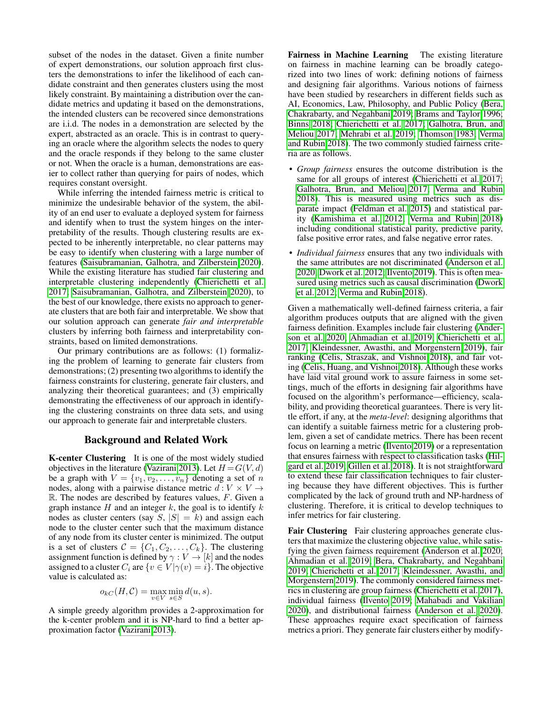subset of the nodes in the dataset. Given a finite number of expert demonstrations, our solution approach first clusters the demonstrations to infer the likelihood of each candidate constraint and then generates clusters using the most likely constraint. By maintaining a distribution over the candidate metrics and updating it based on the demonstrations, the intended clusters can be recovered since demonstrations are i.i.d. The nodes in a demonstration are selected by the expert, abstracted as an oracle. This is in contrast to querying an oracle where the algorithm selects the nodes to query and the oracle responds if they belong to the same cluster or not. When the oracle is a human, demonstrations are easier to collect rather than querying for pairs of nodes, which requires constant oversight.

While inferring the intended fairness metric is critical to minimize the undesirable behavior of the system, the ability of an end user to evaluate a deployed system for fairness and identify when to trust the system hinges on the interpretability of the results. Though clustering results are expected to be inherently interpretable, no clear patterns may be easy to identify when clustering with a large number of features [\(Saisubramanian, Galhotra, and Zilberstein 2020\)](#page-10-9). While the existing literature has studied fair clustering and interpretable clustering independently [\(Chierichetti et al.](#page-10-3) [2017;](#page-10-3) [Saisubramanian, Galhotra, and Zilberstein 2020\)](#page-10-9), to the best of our knowledge, there exists no approach to generate clusters that are both fair and interpretable. We show that our solution approach can generate *fair and interpretable* clusters by inferring both fairness and interpretability constraints, based on limited demonstrations.

Our primary contributions are as follows: (1) formalizing the problem of learning to generate fair clusters from demonstrations; (2) presenting two algorithms to identify the fairness constraints for clustering, generate fair clusters, and analyzing their theoretical guarantees; and (3) empirically demonstrating the effectiveness of our approach in identifying the clustering constraints on three data sets, and using our approach to generate fair and interpretable clusters.

### Background and Related Work

K-center Clustering It is one of the most widely studied objectives in the literature [\(Vazirani 2013\)](#page-11-0). Let  $H = G(V, d)$ be a graph with  $V = \{v_1, v_2, \ldots, v_n\}$  denoting a set of n nodes, along with a pairwise distance metric  $d: V \times V \rightarrow$  $\mathbb{R}$ . The nodes are described by features values,  $F$ . Given a graph instance  $H$  and an integer  $k$ , the goal is to identify  $k$ nodes as cluster centers (say  $S$ ,  $|S| = k$ ) and assign each node to the cluster center such that the maximum distance of any node from its cluster center is minimized. The output is a set of clusters  $C = \{C_1, C_2, \ldots, C_k\}$ . The clustering assignment function is defined by  $\gamma : V \to [k]$  and the nodes assigned to a cluster  $C_i$  are  $\{v \in V | \gamma(v) = i\}$ . The objective value is calculated as:

$$
o_{kC}(H,\mathcal{C}) = \max_{v \in V} \min_{s \in S} d(u,s).
$$

A simple greedy algorithm provides a 2-approximation for the k-center problem and it is NP-hard to find a better approximation factor [\(Vazirani 2013\)](#page-11-0).

Fairness in Machine Learning The existing literature on fairness in machine learning can be broadly categorized into two lines of work: defining notions of fairness and designing fair algorithms. Various notions of fairness have been studied by researchers in different fields such as AI, Economics, Law, Philosophy, and Public Policy [\(Bera,](#page-10-10) [Chakrabarty, and Negahbani 2019;](#page-10-10) [Brams and Taylor 1996;](#page-10-11) [Binns 2018;](#page-10-12) [Chierichetti et al. 2017;](#page-10-3) [Galhotra, Brun, and](#page-10-6) [Meliou 2017;](#page-10-6) [Mehrabi et al. 2019;](#page-10-13) [Thomson 1983;](#page-11-1) [Verma](#page-11-2) [and Rubin 2018\)](#page-11-2). The two commonly studied fairness criteria are as follows.

- *Group fairness* ensures the outcome distribution is the same for all groups of interest [\(Chierichetti et al. 2017;](#page-10-3) [Galhotra, Brun, and Meliou 2017;](#page-10-6) [Verma and Rubin](#page-11-2) [2018\)](#page-11-2). This is measured using metrics such as disparate impact [\(Feldman et al. 2015\)](#page-10-14) and statistical parity [\(Kamishima et al. 2012;](#page-10-15) [Verma and Rubin 2018\)](#page-11-2) including conditional statistical parity, predictive parity, false positive error rates, and false negative error rates.
- *Individual fairness* ensures that any two individuals with the same attributes are not discriminated [\(Anderson et al.](#page-10-4) [2020;](#page-10-4) [Dwork et al. 2012;](#page-10-16) [Ilvento 2019\)](#page-10-17). This is often measured using metrics such as causal discrimination [\(Dwork](#page-10-16) [et al. 2012;](#page-10-16) [Verma and Rubin 2018\)](#page-11-2).

Given a mathematically well-defined fairness criteria, a fair algorithm produces outputs that are aligned with the given fairness definition. Examples include fair clustering [\(Ander](#page-10-4)[son et al. 2020;](#page-10-4) [Ahmadian et al. 2019;](#page-10-5) [Chierichetti et al.](#page-10-3) [2017;](#page-10-3) [Kleindessner, Awasthi, and Morgenstern 2019\)](#page-10-7), fair ranking [\(Celis, Straszak, and Vishnoi 2018\)](#page-10-18), and fair voting [\(Celis, Huang, and Vishnoi 2018\)](#page-10-19). Although these works have laid vital ground work to assure fairness in some settings, much of the efforts in designing fair algorithms have focused on the algorithm's performance—efficiency, scalability, and providing theoretical guarantees. There is very little effort, if any, at the *meta-level*: designing algorithms that can identify a suitable fairness metric for a clustering problem, given a set of candidate metrics. There has been recent focus on learning a metric [\(Ilvento 2019\)](#page-10-17) or a representation that ensures fairness with respect to classification tasks [\(Hil](#page-10-20)[gard et al. 2019;](#page-10-20) [Gillen et al. 2018\)](#page-10-21). It is not straightforward to extend these fair classification techniques to fair clustering because they have different objectives. This is further complicated by the lack of ground truth and NP-hardness of clustering. Therefore, it is critical to develop techniques to infer metrics for fair clustering.

Fair Clustering Fair clustering approaches generate clusters that maximize the clustering objective value, while satisfying the given fairness requirement [\(Anderson et al. 2020;](#page-10-4) [Ahmadian et al. 2019;](#page-10-5) [Bera, Chakrabarty, and Negahbani](#page-10-10) [2019;](#page-10-10) [Chierichetti et al. 2017;](#page-10-3) [Kleindessner, Awasthi, and](#page-10-7) [Morgenstern 2019\)](#page-10-7). The commonly considered fairness metrics in clustering are group fairness [\(Chierichetti et al. 2017\)](#page-10-3), individual fairness [\(Ilvento 2019;](#page-10-17) [Mahabadi and Vakilian](#page-10-22) [2020\)](#page-10-22), and distributional fairness [\(Anderson et al. 2020\)](#page-10-4). These approaches require exact specification of fairness metrics a priori. They generate fair clusters either by modify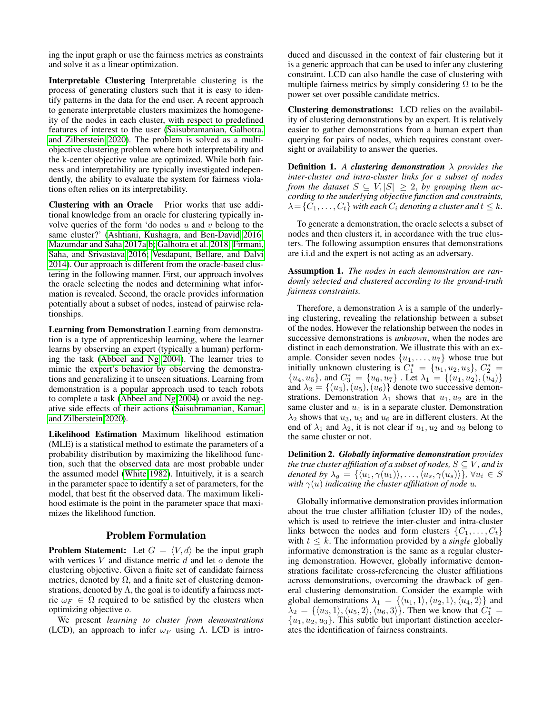ing the input graph or use the fairness metrics as constraints and solve it as a linear optimization.

Interpretable Clustering Interpretable clustering is the process of generating clusters such that it is easy to identify patterns in the data for the end user. A recent approach to generate interpretable clusters maximizes the homogeneity of the nodes in each cluster, with respect to predefined features of interest to the user [\(Saisubramanian, Galhotra,](#page-10-9) [and Zilberstein 2020\)](#page-10-9). The problem is solved as a multiobjective clustering problem where both interpretability and the k-center objective value are optimized. While both fairness and interpretability are typically investigated independently, the ability to evaluate the system for fairness violations often relies on its interpretability.

Clustering with an Oracle Prior works that use additional knowledge from an oracle for clustering typically involve queries of the form 'do nodes  $u$  and  $v$  belong to the same cluster?' [\(Ashtiani, Kushagra, and Ben-David 2016;](#page-10-23) [Mazumdar and Saha 2017a,](#page-10-24)[b;](#page-10-25) [Galhotra et al. 2018;](#page-10-26) [Firmani,](#page-10-27) [Saha, and Srivastava 2016;](#page-10-27) [Vesdapunt, Bellare, and Dalvi](#page-11-3) [2014\)](#page-11-3). Our approach is different from the oracle-based clustering in the following manner. First, our approach involves the oracle selecting the nodes and determining what information is revealed. Second, the oracle provides information potentially about a subset of nodes, instead of pairwise relationships.

Learning from Demonstration Learning from demonstration is a type of apprenticeship learning, where the learner learns by observing an expert (typically a human) performing the task [\(Abbeel and Ng 2004\)](#page-10-28). The learner tries to mimic the expert's behavior by observing the demonstrations and generalizing it to unseen situations. Learning from demonstration is a popular approach used to teach robots to complete a task [\(Abbeel and Ng 2004\)](#page-10-28) or avoid the negative side effects of their actions [\(Saisubramanian, Kamar,](#page-11-4) [and Zilberstein 2020\)](#page-11-4).

Likelihood Estimation Maximum likelihood estimation (MLE) is a statistical method to estimate the parameters of a probability distribution by maximizing the likelihood function, such that the observed data are most probable under the assumed model [\(White 1982\)](#page-11-5). Intuitively, it is a search in the parameter space to identify a set of parameters, for the model, that best fit the observed data. The maximum likelihood estimate is the point in the parameter space that maximizes the likelihood function.

# Problem Formulation

**Problem Statement:** Let  $G = \langle V, d \rangle$  be the input graph with vertices  $V$  and distance metric  $d$  and let  $o$  denote the clustering objective. Given a finite set of candidate fairness metrics, denoted by  $\Omega$ , and a finite set of clustering demonstrations, denoted by  $\Lambda$ , the goal is to identify a fairness metric  $\omega_F \in \Omega$  required to be satisfied by the clusters when optimizing objective o.

We present *learning to cluster from demonstrations* (LCD), an approach to infer  $\omega_F$  using Λ. LCD is introduced and discussed in the context of fair clustering but it is a generic approach that can be used to infer any clustering constraint. LCD can also handle the case of clustering with multiple fairness metrics by simply considering  $\Omega$  to be the power set over possible candidate metrics.

Clustering demonstrations: LCD relies on the availability of clustering demonstrations by an expert. It is relatively easier to gather demonstrations from a human expert than querying for pairs of nodes, which requires constant oversight or availability to answer the queries.

**Definition 1.** A *clustering demonstration*  $\lambda$  *provides the inter-cluster and intra-cluster links for a subset of nodes from the dataset*  $S \subseteq V, |S| \geq 2$ , by grouping them ac*cording to the underlying objective function and constraints,*  $\lambda = \{C_1, \ldots, C_t\}$  with each  $C_i$  denoting a cluster and  $t \leq k$ .

To generate a demonstration, the oracle selects a subset of nodes and then clusters it, in accordance with the true clusters. The following assumption ensures that demonstrations are i.i.d and the expert is not acting as an adversary.

Assumption 1. *The nodes in each demonstration are randomly selected and clustered according to the ground-truth fairness constraints.*

Therefore, a demonstration  $\lambda$  is a sample of the underlying clustering, revealing the relationship between a subset of the nodes. However the relationship between the nodes in successive demonstrations is *unknown*, when the nodes are distinct in each demonstration. We illustrate this with an example. Consider seven nodes  $\{u_1, \ldots, u_7\}$  whose true but initially unknown clustering is  $C_1^* = \{u_1, u_2, u_3\}, C_2^* =$  ${u_4, u_5}$ , and  $C_3^* = {u_6, u_7}$ . Let  $\lambda_1 = {(u_1, u_2), (\tilde{u}_4)}$ and  $\lambda_2 = \{(u_3), (u_5), (u_6)\}\$  denote two successive demonstrations. Demonstration  $\lambda_1$  shows that  $u_1, u_2$  are in the same cluster and  $u_4$  is in a separate cluster. Demonstration  $\lambda_2$  shows that  $u_3$ ,  $u_5$  and  $u_6$  are in different clusters. At the end of  $\lambda_1$  and  $\lambda_2$ , it is not clear if  $u_1, u_2$  and  $u_3$  belong to the same cluster or not.

<span id="page-2-0"></span>Definition 2. *Globally informative demonstration provides the true cluster affiliation of a subset of nodes,*  $S \subseteq V$ *, and is denoted by*  $\lambda_g = \{ \langle u_1, \gamma(u_1) \rangle, \ldots, \langle u_s, \gamma(u_s) \rangle \}, \forall u_i \in S$ *with*  $\gamma(u)$  *indicating the cluster affiliation of node u*.

Globally informative demonstration provides information about the true cluster affiliation (cluster ID) of the nodes, which is used to retrieve the inter-cluster and intra-cluster links between the nodes and form clusters  $\{C_1, \ldots, C_t\}$ with  $t \leq k$ . The information provided by a *single* globally informative demonstration is the same as a regular clustering demonstration. However, globally informative demonstrations facilitate cross-referencing the cluster affiliations across demonstrations, overcoming the drawback of general clustering demonstration. Consider the example with global demonstrations  $\lambda_1 = \{ \langle u_1, 1 \rangle, \langle u_2, 1 \rangle, \langle u_4, 2 \rangle \}$  and  $\lambda_2 = \{ \langle u_3, 1 \rangle, \langle u_5, 2 \rangle, \langle u_6, 3 \rangle \}.$  Then we know that  $C_1^* =$  ${u_1, u_2, u_3}$ . This subtle but important distinction accelerates the identification of fairness constraints.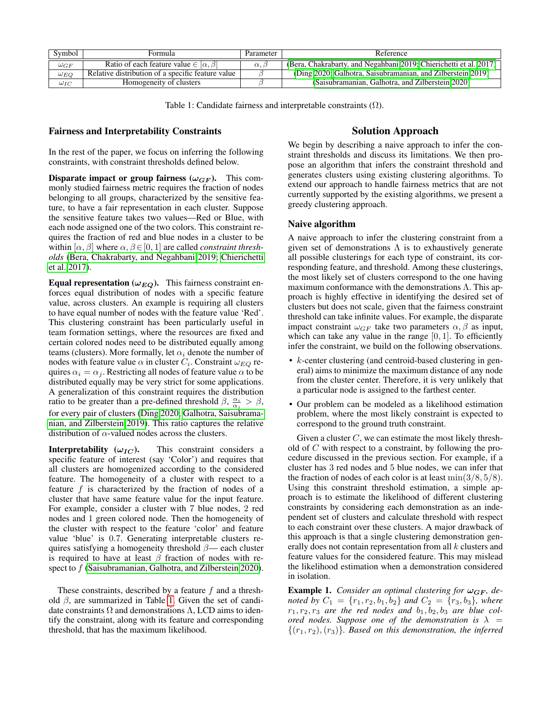<span id="page-3-0"></span>

| Symbol        | Formula                                              | Parameter          | Reference                                                         |
|---------------|------------------------------------------------------|--------------------|-------------------------------------------------------------------|
| $\omega_{GF}$ | Ratio of each feature value $\in$ $\alpha$ , $\beta$ | $\alpha$ , $\beta$ | (Bera, Chakrabarty, and Negahbani 2019; Chierichetti et al. 2017) |
| $\omega_{EQ}$ | Relative distribution of a specific feature value    |                    | (Ding 2020; Galhotra, Saisubramanian, and Zilberstein 2019)       |
| $\omega_{IC}$ | Homogeneity of clusters                              |                    | (Saisubramanian, Galhotra, and Zilberstein 2020)                  |

Table 1: Candidate fairness and interpretable constraints  $(Ω)$ .

# Fairness and Interpretability Constraints

In the rest of the paper, we focus on inferring the following constraints, with constraint thresholds defined below.

Disparate impact or group fairness  $(\omega_{GF})$ . This commonly studied fairness metric requires the fraction of nodes belonging to all groups, characterized by the sensitive feature, to have a fair representation in each cluster. Suppose the sensitive feature takes two values—Red or Blue, with each node assigned one of the two colors. This constraint requires the fraction of red and blue nodes in a cluster to be within  $[\alpha, \beta]$  where  $\alpha, \beta \in [0, 1]$  are called *constraint thresholds* [\(Bera, Chakrabarty, and Negahbani 2019;](#page-10-10) [Chierichetti](#page-10-3) [et al. 2017\)](#page-10-3).

Equal representation ( $\omega_{EQ}$ ). This fairness constraint enforces equal distribution of nodes with a specific feature value, across clusters. An example is requiring all clusters to have equal number of nodes with the feature value 'Red'. This clustering constraint has been particularly useful in team formation settings, where the resources are fixed and certain colored nodes need to be distributed equally among teams (clusters). More formally, let  $\alpha_i$  denote the number of nodes with feature value  $\alpha$  in cluster  $C_i$ . Constraint  $\omega_{EQ}$  requires  $\alpha_i = \alpha_j$ . Restricting all nodes of feature value  $\alpha$  to be distributed equally may be very strict for some applications. A generalization of this constraint requires the distribution ratio to be greater than a pre-defined threshold  $\beta$ ,  $\frac{\alpha_i}{\alpha_j} > \beta$ , for every pair of clusters [\(Ding 2020;](#page-10-29) [Galhotra, Saisubrama](#page-10-30)[nian, and Zilberstein 2019\)](#page-10-30). This ratio captures the relative distribution of  $\alpha$ -valued nodes across the clusters.

**Interpretability** ( $\omega_{IC}$ ). This constraint considers a specific feature of interest (say 'Color') and requires that all clusters are homogenized according to the considered feature. The homogeneity of a cluster with respect to a feature  $f$  is characterized by the fraction of nodes of a cluster that have same feature value for the input feature. For example, consider a cluster with 7 blue nodes, 2 red nodes and 1 green colored node. Then the homogeneity of the cluster with respect to the feature 'color' and feature value 'blue' is 0.7. Generating interpretable clusters requires satisfying a homogeneity threshold  $\beta$ — each cluster is required to have at least  $\beta$  fraction of nodes with re-spect to f [\(Saisubramanian, Galhotra, and Zilberstein 2020\)](#page-10-9).

These constraints, described by a feature  $f$  and a threshold  $\beta$ , are summarized in Table [1.](#page-3-0) Given the set of candidate constraints  $\Omega$  and demonstrations  $\Lambda$ , LCD aims to identify the constraint, along with its feature and corresponding threshold, that has the maximum likelihood.

# Solution Approach

We begin by describing a naive approach to infer the constraint thresholds and discuss its limitations. We then propose an algorithm that infers the constraint threshold and generates clusters using existing clustering algorithms. To extend our approach to handle fairness metrics that are not currently supported by the existing algorithms, we present a greedy clustering approach.

# Naive algorithm

A naive approach to infer the clustering constraint from a given set of demonstrations  $\Lambda$  is to exhaustively generate all possible clusterings for each type of constraint, its corresponding feature, and threshold. Among these clusterings, the most likely set of clusters correspond to the one having maximum conformance with the demonstrations  $\Lambda$ . This approach is highly effective in identifying the desired set of clusters but does not scale, given that the fairness constraint threshold can take infinite values. For example, the disparate impact constraint  $\omega_{GF}$  take two parameters  $\alpha$ ,  $\beta$  as input, which can take any value in the range  $[0, 1]$ . To efficiently infer the constraint, we build on the following observations.

- k-center clustering (and centroid-based clustering in general) aims to minimize the maximum distance of any node from the cluster center. Therefore, it is very unlikely that a particular node is assigned to the farthest center.
- Our problem can be modeled as a likelihood estimation problem, where the most likely constraint is expected to correspond to the ground truth constraint.

Given a cluster  $C$ , we can estimate the most likely threshold of C with respect to a constraint, by following the procedure discussed in the previous section. For example, if a cluster has 3 red nodes and 5 blue nodes, we can infer that the fraction of nodes of each color is at least  $\min(3/8, 5/8)$ . Using this constraint threshold estimation, a simple approach is to estimate the likelihood of different clustering constraints by considering each demonstration as an independent set of clusters and calculate threshold with respect to each constraint over these clusters. A major drawback of this approach is that a single clustering demonstration generally does not contain representation from all k clusters and feature values for the considered feature. This may mislead the likelihood estimation when a demonstration considered in isolation.

**Example 1.** *Consider an optimal clustering for*  $\omega_{GF}$ *, denoted by*  $C_1 = \{r_1, r_2, b_1, b_2\}$  *and*  $C_2 = \{r_3, b_3\}$ *, where*  $r_1, r_2, r_3$  are the red nodes and  $b_1, b_2, b_3$  are blue col*ored nodes. Suppose one of the demonstration is*  $\lambda$  =  $\{(r_1, r_2), (r_3)\}\$ . Based on this demonstration, the inferred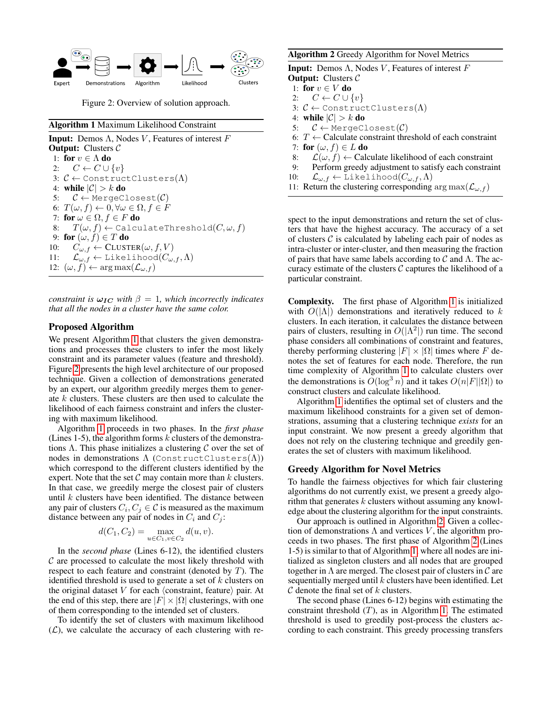<span id="page-4-1"></span>

Figure 2: Overview of solution approach.

# <span id="page-4-0"></span>Algorithm 1 Maximum Likelihood Constraint

**Input:** Demos Λ, Nodes *V*, Features of interest  $F$ **Output:** Clusters  $C$ 1: for  $v \in \Lambda$  do 2:  $C \leftarrow C \cup \{v\}$ 3:  $C \leftarrow$  ConstructClusters( $\Lambda$ ) 4: while  $|\mathcal{C}| > k$  do 5:  $C \leftarrow$  MergeClosest( $C$ ) 6:  $T(\omega, f) \leftarrow 0, \forall \omega \in \Omega, f \in F$ 7: for  $\omega \in \Omega, f \in F$  do 8:  $T(\omega, f) \leftarrow$  CalculateThreshold $(C, \omega, f)$ 9: for  $(\omega, f) \in T$  do 10:  $C_{\omega,f} \leftarrow$  CLUSTER $(\omega, f, V)$ 11:  $\mathcal{L}_{\omega,f} \leftarrow \text{Likelihood}(C_{\omega,f}, \Lambda)$ 12:  $(\omega, f) \leftarrow \arg \max(\mathcal{L}_{\omega, f})$ 

*constraint is*  $\omega_{IC}$  *with*  $\beta = 1$ *, which incorrectly indicates that all the nodes in a cluster have the same color.*

# Proposed Algorithm

We present Algorithm [1](#page-4-0) that clusters the given demonstrations and processes these clusters to infer the most likely constraint and its parameter values (feature and threshold). Figure [2](#page-4-1) presents the high level architecture of our proposed technique. Given a collection of demonstrations generated by an expert, our algorithm greedily merges them to generate k clusters. These clusters are then used to calculate the likelihood of each fairness constraint and infers the clustering with maximum likelihood.

Algorithm [1](#page-4-0) proceeds in two phases. In the *first phase* (Lines 1-5), the algorithm forms  $k$  clusters of the demonstrations  $\Lambda$ . This phase initializes a clustering  $\mathcal C$  over the set of nodes in demonstrations  $\Lambda$  (ConstructClusters( $\Lambda$ )) which correspond to the different clusters identified by the expert. Note that the set  $\mathcal C$  may contain more than  $k$  clusters. In that case, we greedily merge the closest pair of clusters until  $k$  clusters have been identified. The distance between any pair of clusters  $C_i, C_j \in \mathcal{C}$  is measured as the maximum distance between any pair of nodes in  $C_i$  and  $C_j$ :

$$
d(C_1, C_2) = \max_{u \in C_1, v \in C_2} d(u, v).
$$

In the *second phase* (Lines 6-12), the identified clusters  $C$  are processed to calculate the most likely threshold with respect to each feature and constraint (denoted by  $T$ ). The identified threshold is used to generate a set of  $k$  clusters on the original dataset  $V$  for each  $\langle$  constraint, feature $\rangle$  pair. At the end of this step, there are  $|F| \times |\Omega|$  clusterings, with one of them corresponding to the intended set of clusters.

To identify the set of clusters with maximum likelihood  $(L)$ , we calculate the accuracy of each clustering with re-

# <span id="page-4-2"></span>Algorithm 2 Greedy Algorithm for Novel Metrics

**Input:** Demos  $\Lambda$ , Nodes V, Features of interest F **Output:** Clusters  $C$ 1: for  $v \in V$  do 2:  $C \leftarrow C \cup \{v\}$ 3:  $C \leftarrow$  ConstructClusters( $\Lambda$ ) 4: while  $|\mathcal{C}| > k$  do 5:  $C \leftarrow$  MergeClosest( $C$ ) 6:  $T \leftarrow$  Calculate constraint threshold of each constraint 7: for  $(\omega, f) \in L$  do

- 8:  $\mathcal{L}(\omega, f) \leftarrow$  Calculate likelihood of each constraint
- 9: Perform greedy adjustment to satisfy each constraint
- 10:  $\mathcal{L}_{\omega,f} \leftarrow \text{Likelihood}(C_{\omega,f}, \Lambda)$
- 11: Return the clustering corresponding  $\arg \max(\mathcal{L}_{\omega,f})$

spect to the input demonstrations and return the set of clusters that have the highest accuracy. The accuracy of a set of clusters  $\mathcal C$  is calculated by labeling each pair of nodes as intra-cluster or inter-cluster, and then measuring the fraction of pairs that have same labels according to  $\mathcal C$  and  $\Lambda$ . The accuracy estimate of the clusters  $C$  captures the likelihood of a particular constraint.

Complexity. The first phase of Algorithm [1](#page-4-0) is initialized with  $O(|\Lambda|)$  demonstrations and iteratively reduced to k clusters. In each iteration, it calculates the distance between pairs of clusters, resulting in  $O(|\Lambda^2|)$  run time. The second phase considers all combinations of constraint and features, thereby performing clustering  $|F| \times |\Omega|$  times where F denotes the set of features for each node. Therefore, the run time complexity of Algorithm [1](#page-4-0) to calculate clusters over the demonstrations is  $O(\log^3 n)$  and it takes  $O(n|F||\Omega|)$  to construct clusters and calculate likelihood.

Algorithm [1](#page-4-0) identifies the optimal set of clusters and the maximum likelihood constraints for a given set of demonstrations, assuming that a clustering technique *exists* for an input constraint. We now present a greedy algorithm that does not rely on the clustering technique and greedily generates the set of clusters with maximum likelihood.

#### Greedy Algorithm for Novel Metrics

To handle the fairness objectives for which fair clustering algorithms do not currently exist, we present a greedy algorithm that generates  $k$  clusters without assuming any knowledge about the clustering algorithm for the input constraints.

Our approach is outlined in Algorithm [2.](#page-4-2) Given a collection of demonstrations  $\Lambda$  and vertices  $V$ , the algorithm proceeds in two phases. The first phase of Algorithm [2](#page-4-2) (Lines 1-5) is similar to that of Algorithm [1,](#page-4-0) where all nodes are initialized as singleton clusters and all nodes that are grouped together in  $\Lambda$  are merged. The closest pair of clusters in  $\mathcal C$  are sequentially merged until  $k$  clusters have been identified. Let  $\mathcal C$  denote the final set of  $k$  clusters.

The second phase (Lines 6-12) begins with estimating the constraint threshold  $(T)$ , as in Algorithm [1.](#page-4-0) The estimated threshold is used to greedily post-process the clusters according to each constraint. This greedy processing transfers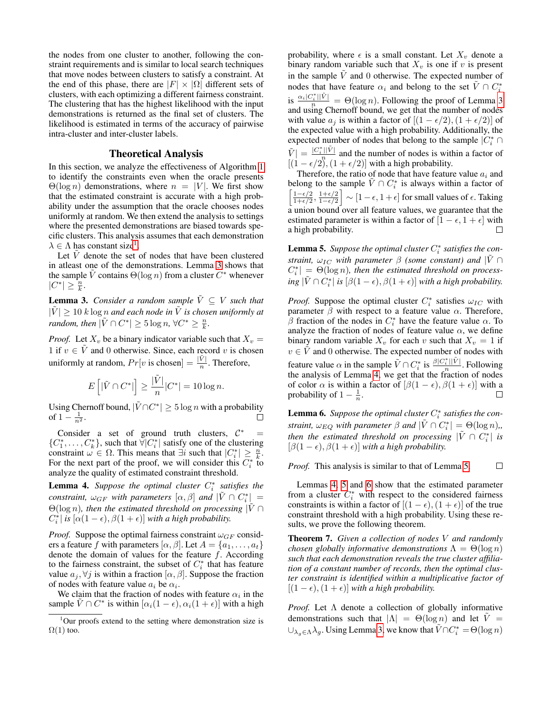the nodes from one cluster to another, following the constraint requirements and is similar to local search techniques that move nodes between clusters to satisfy a constraint. At the end of this phase, there are  $|F| \times |\Omega|$  different sets of clusters, with each optimizing a different fairness constraint. The clustering that has the highest likelihood with the input demonstrations is returned as the final set of clusters. The likelihood is estimated in terms of the accuracy of pairwise intra-cluster and inter-cluster labels.

# Theoretical Analysis

In this section, we analyze the effectiveness of Algorithm [1](#page-4-0) to identify the constraints even when the oracle presents  $\Theta(\log n)$  demonstrations, where  $n = |V|$ . We first show that the estimated constraint is accurate with a high probability under the assumption that the oracle chooses nodes uniformly at random. We then extend the analysis to settings where the presented demonstrations are biased towards specific clusters. This analysis assumes that each demonstration  $\lambda \in \Lambda$  has constant size<sup>[1](#page-5-0)</sup>.

Let  $\hat{V}$  denote the set of nodes that have been clustered in atleast one of the demonstrations. Lemma [3](#page-5-1) shows that the sample  $\tilde{V}$  contains  $\Theta(\log n)$  from a cluster  $C^*$  whenever  $|C^*| \geq \frac{n}{k}.$ 

<span id="page-5-1"></span>**Lemma 3.** *Consider a random sample*  $\tilde{V} \subseteq V$  *such that*  $|\tilde{V}| \geq 10$  k log *n* and each node in  $\tilde{V}$  is chosen uniformly at *random, then*  $|\tilde{V} \cap C^*| \geq 5 \log n$ ,  $\forall C^* \geq \frac{n}{k}$ .

*Proof.* Let  $X_v$  be a binary indicator variable such that  $X_v =$ 1 if  $v \in V$  and 0 otherwise. Since, each record v is chosen uniformly at random,  $Pr[v \text{ is chosen}] = \frac{|\tilde{V}|}{n}$ . Therefore,

$$
E\left[|\tilde{V} \cap C^*|\right] \ge \frac{|\tilde{V}|}{n}|C^*| = 10\log n.
$$

Using Chernoff bound,  $|\tilde{V} \cap C^*| \geq 5 \log n$  with a probability of  $1 - \frac{1}{n^2}$ . П

Consider a set of ground truth clusters,  $C^*$  =  $\{C_1^*, \ldots, C_k^*\}$ , such that  $\forall |C_i^*|$  satisfy one of the clustering constraint  $\omega \in \Omega$ . This means that  $\exists i$  such that  $|C_i^*| \geq \frac{n}{k}$ . For the next part of the proof, we will consider this  $C_i^*$  to analyze the quality of estimated constraint threshold.

<span id="page-5-2"></span>**Lemma 4.** Suppose the optimal cluster  $C_i^*$  satisfies the *constraint,*  $\omega_{GF}$  *with parameters*  $[\alpha, \beta]$  *and*  $|\tilde{V} \cap C_i^*|$  =  $\Theta(\log n)$ , then the estimated threshold on processing  $|V \cap$  $C_i^*$ | *is* [ $\alpha(1-\epsilon)$ ,  $\beta(1+\epsilon)$ ] *with a high probability.* 

*Proof.* Suppose the optimal fairness constraint  $\omega_{GF}$  considers a feature f with parameters  $[\alpha, \beta]$ . Let  $A = \{a_1, \ldots, a_t\}$ denote the domain of values for the feature  $f$ . According to the fairness constraint, the subset of  $C_i^*$  that has feature value  $a_j, \forall j$  is within a fraction  $[\alpha, \beta]$ . Suppose the fraction of nodes with feature value  $a_i$  be  $\alpha_i$ .

We claim that the fraction of nodes with feature  $\alpha_i$  in the sample  $\tilde{V} \cap C^*$  is within  $[\alpha_i(1 - \epsilon), \alpha_i(1 + \epsilon)]$  with a high probability, where  $\epsilon$  is a small constant. Let  $X_v$  denote a binary random variable such that  $X_v$  is one if v is present in the sample  $\tilde{V}$  and 0 otherwise. The expected number of nodes that have feature  $\alpha_i$  and belong to the set  $\tilde{V} \cap C_i^*$ is  $\frac{\alpha_i |C_i^*| |\tilde{V}|}{n} = \Theta(\log n)$ . Following the proof of Lemma [3](#page-5-1) and using Chernoff bound, we get that the number of nodes with value  $a_i$  is within a factor of  $[(1 - \epsilon/2), (1 + \epsilon/2)]$  of the expected value with a high probability. Additionally, the expected number of nodes that belong to the sample  $|C_i^* \cap$  $|\tilde{V}|=\frac{|C_i^*||\tilde{V}|}{n}$  $\frac{||V||}{v}$  and the number of nodes is within a factor of  $[(1 - \epsilon/2), (1 + \epsilon/2)]$  with a high probability.

Therefore, the ratio of node that have feature value  $a_i$  and belong to the sample  $\tilde{V} \cap C_i^*$  is always within a factor of  $\lceil 1-\epsilon/2 \rceil$  $\frac{1+\epsilon/2}{1-\epsilon/2}$   $\sim$   $[1-\epsilon, 1+\epsilon]$  for small values of  $\epsilon$ . Taking  $\frac{1-\epsilon/2}{1+\epsilon/2}, \frac{1+\epsilon/2}{1-\epsilon/2}$ a union bound over all feature values, we guarantee that the estimated parameter is within a factor of  $[1 - \epsilon, 1 + \epsilon]$  with a high probability. П

<span id="page-5-3"></span>**Lemma 5.** Suppose the optimal cluster  $C_i^*$  satisfies the con*straint,*  $\omega_{IC}$  *with parameter*  $\beta$  *(some constant) and*  $|\tilde{V} \cap \tilde{V}|$  $C_i^*$  =  $\Theta(\log n)$ , then the estimated threshold on process- $\frac{1}{2}$  *ing*  $|\tilde{V} \cap C_i^*|$  *is*  $[\beta(1 - \epsilon), \beta(1 + \epsilon)]$  *with a high probability.* 

*Proof.* Suppose the optimal cluster  $C_i^*$  satisfies  $\omega_{IC}$  with parameter  $\beta$  with respect to a feature value  $\alpha$ . Therefore, β fraction of the nodes in  $C_i^*$  have the feature value  $\alpha$ . To analyze the fraction of nodes of feature value  $\alpha$ , we define binary random variable  $X_v$  for each v such that  $X_v = 1$  if  $v \in \tilde{V}$  and 0 otherwise. The expected number of nodes with feature value  $\alpha$  in the sample  $\tilde{V} \cap C_i^*$  is  $\frac{\beta |C_i^*| |\tilde{V}|}{n}$  $\frac{i}{n}$ . Following the analysis of Lemma [4,](#page-5-2) we get that the fraction of nodes of color  $\alpha$  is within a factor of  $[\beta(1 - \epsilon), \beta(1 + \epsilon)]$  with a probability of  $1 - \frac{1}{n}$ .  $\Box$ 

<span id="page-5-4"></span>**Lemma 6.** Suppose the optimal cluster  $C_i^*$  satisfies the con*straint,*  $\omega_{EQ}$  *with parameter*  $\beta$  *and*  $|\tilde{V} \cap C_i^*| = \Theta(\log n)$ , *then the estimated threshold on processing*  $|\tilde{V} \cap C^{*}_i|$  *is*  $[\beta(1 - \epsilon), \beta(1 + \epsilon)]$  *with a high probability.* 

*Proof.* This analysis is similar to that of Lemma [5.](#page-5-3)  $\Box$ 

Lemmas [4,](#page-5-2) [5](#page-5-3) and [6](#page-5-4) show that the estimated parameter from a cluster  $C_i^*$  with respect to the considered fairness constraints is within a factor of  $[(1 - \epsilon), (1 + \epsilon)]$  of the true constraint threshold with a high probability. Using these results, we prove the following theorem.

<span id="page-5-5"></span>Theorem 7. *Given a collection of nodes* V *and randomly chosen globally informative demonstrations*  $\Lambda = \Theta(\log n)$ *such that each demonstration reveals the true cluster affiliation of a constant number of records, then the optimal cluster constraint is identified within a multiplicative factor of*  $[(1 - \epsilon), (1 + \epsilon)]$  *with a high probability.* 

*Proof.* Let  $\Lambda$  denote a collection of globally informative demonstrations such that  $|\Lambda| = \Theta(\log n)$  and let  $\tilde{V} =$  $\cup_{\lambda_g \in \Lambda} \lambda_g$ . Using Lemma [3,](#page-5-1) we know that  $\tilde{V} \cap C_i^* = \Theta(\log n)$ 

<span id="page-5-0"></span> $1$ Our proofs extend to the setting where demonstration size is  $\Omega(1)$  too.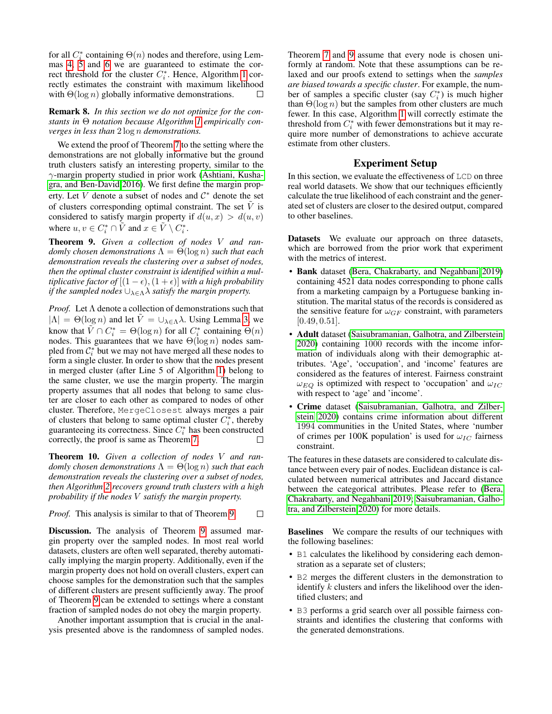for all  $C_i^*$  containing  $\Theta(n)$  nodes and therefore, using Lemmas [4,](#page-5-2) [5](#page-5-3) and [6](#page-5-4) we are guaranteed to estimate the correct threshold for the cluster  $C_i^*$ . Hence, Algorithm [1](#page-4-0) correctly estimates the constraint with maximum likelihood with  $\Theta(\log n)$  globally informative demonstrations. П

Remark 8. *In this section we do not optimize for the constants in* Θ *notation because Algorithm [1](#page-4-0) empirically converges in less than* 2 log n *demonstrations.*

We extend the proof of Theorem [7](#page-5-5) to the setting where the demonstrations are not globally informative but the ground truth clusters satisfy an interesting property, similar to the γ-margin property studied in prior work [\(Ashtiani, Kusha](#page-10-23)[gra, and Ben-David 2016\)](#page-10-23). We first define the margin property. Let  $\tilde{V}$  denote a subset of nodes and  $\mathcal{C}^*$  denote the set of clusters corresponding optimal constraint. The set  $\tilde{V}$  is considered to satisfy margin property if  $d(u, x) > d(u, v)$ where  $u, v \in C_i^* \cap \tilde{V}$  and  $x \in \tilde{V} \setminus C_i^*$ .

<span id="page-6-0"></span>Theorem 9. *Given a collection of nodes* V *and randomly chosen demonstrations*  $\Lambda = \Theta(\log n)$  *such that each demonstration reveals the clustering over a subset of nodes, then the optimal cluster constraint is identified within a multiplicative factor of*  $[(1 - \epsilon), (1 + \epsilon)]$  *with a high probability if the sampled nodes*  $\cup_{\lambda \in \Lambda} \lambda$  *satisfy the margin property.* 

*Proof.* Let Λ denote a collection of demonstrations such that  $|\Lambda| = \Theta(\log n)$  and let  $\tilde{V} = \bigcup_{\lambda \in \Lambda} \lambda$ . Using Lemma [3,](#page-5-1) we know that  $\tilde{V} \cap C_i^* = \Theta(\log n)$  for all  $C_i^*$  containing  $\Theta(n)$ nodes. This guarantees that we have  $\Theta(\log n)$  nodes sampled from  $\mathcal{C}_i^*$  but we may not have merged all these nodes to form a single cluster. In order to show that the nodes present in merged cluster (after Line 5 of Algorithm [1\)](#page-4-0) belong to the same cluster, we use the margin property. The margin property assumes that all nodes that belong to same cluster are closer to each other as compared to nodes of other cluster. Therefore, MergeClosest always merges a pair of clusters that belong to same optimal cluster  $C_i^*$ , thereby guaranteeing its correctness. Since  $C_i^*$  has been constructed correctly, the proof is same as Theorem [7.](#page-5-5)  $\Box$ 

Theorem 10. *Given a collection of nodes* V *and randomly chosen demonstrations*  $\Lambda = \Theta(\log n)$  *such that each demonstration reveals the clustering over a subset of nodes, then Algorithm [2](#page-4-2) recovers ground truth clusters with a high probability if the nodes* V *satisfy the margin property.*

*Proof.* This analysis is similar to that of Theorem [9.](#page-6-0)  $\Box$ 

Discussion. The analysis of Theorem [9](#page-6-0) assumed margin property over the sampled nodes. In most real world datasets, clusters are often well separated, thereby automatically implying the margin property. Additionally, even if the margin property does not hold on overall clusters, expert can choose samples for the demonstration such that the samples of different clusters are present sufficiently away. The proof of Theorem [9](#page-6-0) can be extended to settings where a constant fraction of sampled nodes do not obey the margin property.

Another important assumption that is crucial in the analysis presented above is the randomness of sampled nodes. Theorem [7](#page-5-5) and [9](#page-6-0) assume that every node is chosen uniformly at random. Note that these assumptions can be relaxed and our proofs extend to settings when the *samples are biased towards a specific cluster*. For example, the number of samples a specific cluster (say  $C_i^*$ ) is much higher than  $\Theta(\log n)$  but the samples from other clusters are much fewer. In this case, Algorithm [1](#page-4-0) will correctly estimate the threshold from  $C_i^*$  with fewer demonstrations but it may require more number of demonstrations to achieve accurate estimate from other clusters.

# Experiment Setup

In this section, we evaluate the effectiveness of LCD on three real world datasets. We show that our techniques efficiently calculate the true likelihood of each constraint and the generated set of clusters are closer to the desired output, compared to other baselines.

Datasets We evaluate our approach on three datasets, which are borrowed from the prior work that experiment with the metrics of interest.

- Bank dataset [\(Bera, Chakrabarty, and Negahbani 2019\)](#page-10-10) containing 4521 data nodes corresponding to phone calls from a marketing campaign by a Portuguese banking institution. The marital status of the records is considered as the sensitive feature for  $\omega_{GF}$  constraint, with parameters  $[0.49, 0.51]$ .
- Adult dataset [\(Saisubramanian, Galhotra, and Zilberstein](#page-10-9) [2020\)](#page-10-9) containing 1000 records with the income information of individuals along with their demographic attributes. 'Age', 'occupation', and 'income' features are considered as the features of interest. Fairness constraint  $\omega_{EQ}$  is optimized with respect to 'occupation' and  $\omega_{IC}$ with respect to 'age' and 'income'.
- Crime dataset [\(Saisubramanian, Galhotra, and Zilber](#page-10-9)[stein 2020\)](#page-10-9) contains crime information about different 1994 communities in the United States, where 'number of crimes per 100K population' is used for  $\omega_{IC}$  fairness constraint.

The features in these datasets are considered to calculate distance between every pair of nodes. Euclidean distance is calculated between numerical attributes and Jaccard distance between the categorical attributes. Please refer to [\(Bera,](#page-10-10) [Chakrabarty, and Negahbani 2019;](#page-10-10) [Saisubramanian, Galho](#page-10-9)[tra, and Zilberstein 2020\)](#page-10-9) for more details.

Baselines We compare the results of our techniques with the following baselines:

- B1 calculates the likelihood by considering each demonstration as a separate set of clusters;
- B2 merges the different clusters in the demonstration to identify k clusters and infers the likelihood over the identified clusters; and
- B3 performs a grid search over all possible fairness constraints and identifies the clustering that conforms with the generated demonstrations.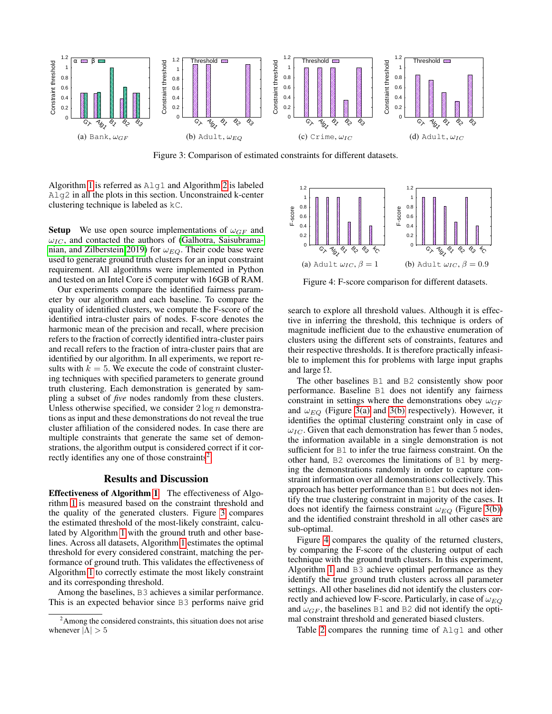<span id="page-7-2"></span><span id="page-7-1"></span>

<span id="page-7-3"></span>Figure 3: Comparison of estimated constraints for different datasets.

Algorithm [1](#page-4-0) is referred as  $\text{Alq1}$  and Algorithm [2](#page-4-2) is labeled Alg2 in all the plots in this section. Unconstrained k-center clustering technique is labeled as kC.

**Setup** We use open source implementations of  $\omega_{GF}$  and  $\omega_{IC}$ , and contacted the authors of [\(Galhotra, Saisubrama](#page-10-30)[nian, and Zilberstein 2019\)](#page-10-30) for  $\omega_{EQ}$ . Their code base were used to generate ground truth clusters for an input constraint requirement. All algorithms were implemented in Python and tested on an Intel Core i5 computer with 16GB of RAM.

Our experiments compare the identified fairness parameter by our algorithm and each baseline. To compare the quality of identified clusters, we compute the F-score of the identified intra-cluster pairs of nodes. F-score denotes the harmonic mean of the precision and recall, where precision refers to the fraction of correctly identified intra-cluster pairs and recall refers to the fraction of intra-cluster pairs that are identified by our algorithm. In all experiments, we report results with  $k = 5$ . We execute the code of constraint clustering techniques with specified parameters to generate ground truth clustering. Each demonstration is generated by sampling a subset of *five* nodes randomly from these clusters. Unless otherwise specified, we consider  $2 \log n$  demonstrations as input and these demonstrations do not reveal the true cluster affiliation of the considered nodes. In case there are multiple constraints that generate the same set of demonstrations, the algorithm output is considered correct if it cor-rectly identifies any one of those constraints<sup>[2](#page-7-0)</sup>.

#### Results and Discussion

Effectiveness of Algorithm [1](#page-4-0) The effectiveness of Algorithm [1](#page-4-0) is measured based on the constraint threshold and the quality of the generated clusters. Figure [3](#page-7-1) compares the estimated threshold of the most-likely constraint, calculated by Algorithm [1](#page-4-0) with the ground truth and other baselines. Across all datasets, Algorithm [1](#page-4-0) estimates the optimal threshold for every considered constraint, matching the performance of ground truth. This validates the effectiveness of Algorithm [1](#page-4-0) to correctly estimate the most likely constraint and its corresponding threshold.

Among the baselines, B3 achieves a similar performance. This is an expected behavior since B3 performs naive grid

<span id="page-7-4"></span>

Figure 4: F-score comparison for different datasets.

search to explore all threshold values. Although it is effective in inferring the threshold, this technique is orders of magnitude inefficient due to the exhaustive enumeration of clusters using the different sets of constraints, features and their respective thresholds. It is therefore practically infeasible to implement this for problems with large input graphs and large  $\Omega$ .

The other baselines B1 and B2 consistently show poor performance. Baseline B1 does not identify any fairness constraint in settings where the demonstrations obey  $\omega_{GF}$ and  $\omega_{EQ}$  (Figure [3\(a\)](#page-7-2) and [3\(b\)](#page-7-3) respectively). However, it identifies the optimal clustering constraint only in case of  $\omega_{IC}$ . Given that each demonstration has fewer than 5 nodes, the information available in a single demonstration is not sufficient for B1 to infer the true fairness constraint. On the other hand, B2 overcomes the limitations of B1 by merging the demonstrations randomly in order to capture constraint information over all demonstrations collectively. This approach has better performance than B1 but does not identify the true clustering constraint in majority of the cases. It does not identify the fairness constraint  $\omega_{EQ}$  (Figure [3\(b\)\)](#page-7-3) and the identified constraint threshold in all other cases are sub-optimal.

Figure [4](#page-7-4) compares the quality of the returned clusters, by comparing the F-score of the clustering output of each technique with the ground truth clusters. In this experiment, Algorithm [1](#page-4-0) and B3 achieve optimal performance as they identify the true ground truth clusters across all parameter settings. All other baselines did not identify the clusters correctly and achieved low F-score. Particularly, in case of  $\omega_{EO}$ and  $\omega_{GF}$ , the baselines B1 and B2 did not identify the optimal constraint threshold and generated biased clusters.

Table [2](#page-8-0) compares the running time of Alg1 and other

<span id="page-7-0"></span> $2$ Among the considered constraints, this situation does not arise whenever  $|\Lambda| > 5$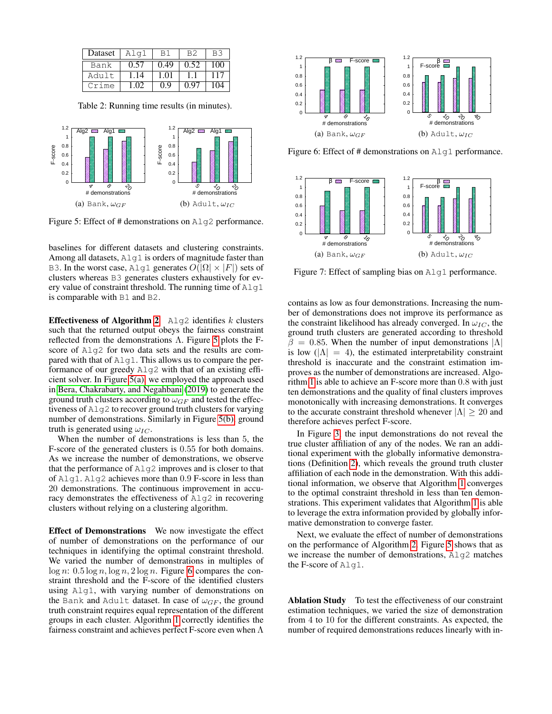<span id="page-8-0"></span>

| Dataset | Alq1             |      | B2   |     |
|---------|------------------|------|------|-----|
| Bank    | 0.57             | 0.49 | 0.52 | 100 |
| Adult   | $\overline{.}14$ | 1.01 |      | 117 |
| Crime   | 1 O2             | 0.9  | በ 97 | 104 |

Table 2: Running time results (in minutes).

<span id="page-8-2"></span><span id="page-8-1"></span>

<span id="page-8-3"></span>Figure 5: Effect of # demonstrations on Alg2 performance.

baselines for different datasets and clustering constraints. Among all datasets, Alg1 is orders of magnitude faster than B3. In the worst case, Alg1 generates  $O(|\Omega| \times |F|)$  sets of clusters whereas B3 generates clusters exhaustively for every value of constraint threshold. The running time of  $\text{Alg}(1)$ is comparable with B1 and B2.

**Effectiveness of Algorithm [2](#page-4-2)** Alg2 identifies  $k$  clusters such that the returned output obeys the fairness constraint reflected from the demonstrations Λ. Figure [5](#page-8-1) plots the Fscore of  $\text{Alq2}$  for two data sets and the results are compared with that of Alg1. This allows us to compare the performance of our greedy Alg2 with that of an existing efficient solver. In Figure [5\(a\),](#page-8-2) we employed the approach used in [Bera, Chakrabarty, and Negahbani](#page-10-10) [\(2019\)](#page-10-10) to generate the ground truth clusters according to  $\omega_{GF}$  and tested the effectiveness of Alg2 to recover ground truth clusters for varying number of demonstrations. Similarly in Figure [5\(b\),](#page-8-3) ground truth is generated using  $\omega_{IC}$ .

When the number of demonstrations is less than 5, the F-score of the generated clusters is 0.55 for both domains. As we increase the number of demonstrations, we observe that the performance of Alg2 improves and is closer to that of Alg1. Alg2 achieves more than 0.9 F-score in less than 20 demonstrations. The continuous improvement in accuracy demonstrates the effectiveness of Alg2 in recovering clusters without relying on a clustering algorithm.

Effect of Demonstrations We now investigate the effect of number of demonstrations on the performance of our techniques in identifying the optimal constraint threshold. We varied the number of demonstrations in multiples of  $\log n: 0.5 \log n, \log n, 2 \log n$ . Figure [6](#page-8-4) compares the constraint threshold and the F-score of the identified clusters using Alg1, with varying number of demonstrations on the Bank and Adult dataset. In case of  $\omega_{GF}$ , the ground truth constraint requires equal representation of the different groups in each cluster. Algorithm [1](#page-4-0) correctly identifies the fairness constraint and achieves perfect F-score even when  $\Lambda$ 

<span id="page-8-4"></span>

Figure 6: Effect of # demonstrations on Alg1 performance.

<span id="page-8-5"></span>

Figure 7: Effect of sampling bias on Alg1 performance.

contains as low as four demonstrations. Increasing the number of demonstrations does not improve its performance as the constraint likelihood has already converged. In  $\omega_{IC}$ , the ground truth clusters are generated according to threshold  $\beta = 0.85$ . When the number of input demonstrations  $|\Lambda|$ is low  $(|\Lambda| = 4)$ , the estimated interpretability constraint threshold is inaccurate and the constraint estimation improves as the number of demonstrations are increased. Algorithm [1](#page-4-0) is able to achieve an F-score more than 0.8 with just ten demonstrations and the quality of final clusters improves monotonically with increasing demonstrations. It converges to the accurate constraint threshold whenever  $|\Lambda| \geq 20$  and therefore achieves perfect F-score.

In Figure [3,](#page-7-1) the input demonstrations do not reveal the true cluster affiliation of any of the nodes. We ran an additional experiment with the globally informative demonstrations (Definition [2\)](#page-2-0), which reveals the ground truth cluster affiliation of each node in the demonstration. With this additional information, we observe that Algorithm [1](#page-4-0) converges to the optimal constraint threshold in less than ten demonstrations. This experiment validates that Algorithm [1](#page-4-0) is able to leverage the extra information provided by globally informative demonstration to converge faster.

Next, we evaluate the effect of number of demonstrations on the performance of Algorithm [2.](#page-4-2) Figure [5](#page-8-1) shows that as we increase the number of demonstrations, Alg2 matches the F-score of Alg1.

Ablation Study To test the effectiveness of our constraint estimation techniques, we varied the size of demonstration from 4 to 10 for the different constraints. As expected, the number of required demonstrations reduces linearly with in-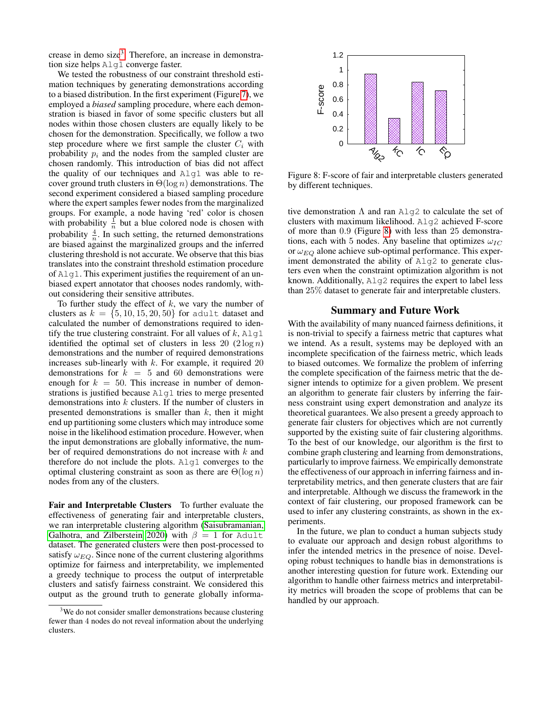crease in demo size<sup>[3](#page-9-0)</sup>. Therefore, an increase in demonstration size helps Alg1 converge faster.

We tested the robustness of our constraint threshold estimation techniques by generating demonstrations according to a biased distribution. In the first experiment (Figure [7\)](#page-8-5), we employed a *biased* sampling procedure, where each demonstration is biased in favor of some specific clusters but all nodes within those chosen clusters are equally likely to be chosen for the demonstration. Specifically, we follow a two step procedure where we first sample the cluster  $C_i$  with probability  $p_i$  and the nodes from the sampled cluster are chosen randomly. This introduction of bias did not affect the quality of our techniques and Alg1 was able to recover ground truth clusters in  $\Theta(\log n)$  demonstrations. The second experiment considered a biased sampling procedure where the expert samples fewer nodes from the marginalized groups. For example, a node having 'red' color is chosen with probability  $\frac{1}{n}$  but a blue colored node is chosen with probability  $\frac{4}{n}$ . In such setting, the returned demonstrations are biased against the marginalized groups and the inferred clustering threshold is not accurate. We observe that this bias translates into the constraint threshold estimation procedure of Alg1. This experiment justifies the requirement of an unbiased expert annotator that chooses nodes randomly, without considering their sensitive attributes.

To further study the effect of  $k$ , we vary the number of clusters as  $k = \{5, 10, 15, 20, 50\}$  for adult dataset and calculated the number of demonstrations required to identify the true clustering constraint. For all values of  $k$ ,  $\text{Alq1}$ identified the optimal set of clusters in less 20  $(2 \log n)$ demonstrations and the number of required demonstrations increases sub-linearly with  $k$ . For example, it required 20 demonstrations for  $k = 5$  and 60 demonstrations were enough for  $k = 50$ . This increase in number of demonstrations is justified because Alg1 tries to merge presented demonstrations into k clusters. If the number of clusters in presented demonstrations is smaller than  $k$ , then it might end up partitioning some clusters which may introduce some noise in the likelihood estimation procedure. However, when the input demonstrations are globally informative, the number of required demonstrations do not increase with  $k$  and therefore do not include the plots. Alg1 converges to the optimal clustering constraint as soon as there are  $\Theta(\log n)$ nodes from any of the clusters.

Fair and Interpretable Clusters To further evaluate the effectiveness of generating fair and interpretable clusters, we ran interpretable clustering algorithm [\(Saisubramanian,](#page-10-9) [Galhotra, and Zilberstein 2020\)](#page-10-9) with  $\beta = 1$  for Adult dataset. The generated clusters were then post-processed to satisfy  $\omega_{EO}$ . Since none of the current clustering algorithms optimize for fairness and interpretability, we implemented a greedy technique to process the output of interpretable clusters and satisfy fairness constraint. We considered this output as the ground truth to generate globally informa-

<span id="page-9-1"></span>

Figure 8: F-score of fair and interpretable clusters generated by different techniques.

tive demonstration  $\Lambda$  and ran Alq2 to calculate the set of clusters with maximum likelihood. Alg2 achieved F-score of more than 0.9 (Figure [8\)](#page-9-1) with less than 25 demonstrations, each with 5 nodes. Any baseline that optimizes  $\omega_{IC}$ or  $\omega_{EQ}$  alone achieve sub-optimal performance. This experiment demonstrated the ability of Alg2 to generate clusters even when the constraint optimization algorithm is not known. Additionally,  $\text{Alg2}$  requires the expert to label less than 25% dataset to generate fair and interpretable clusters.

# Summary and Future Work

With the availability of many nuanced fairness definitions, it is non-trivial to specify a fairness metric that captures what we intend. As a result, systems may be deployed with an incomplete specification of the fairness metric, which leads to biased outcomes. We formalize the problem of inferring the complete specification of the fairness metric that the designer intends to optimize for a given problem. We present an algorithm to generate fair clusters by inferring the fairness constraint using expert demonstration and analyze its theoretical guarantees. We also present a greedy approach to generate fair clusters for objectives which are not currently supported by the existing suite of fair clustering algorithms. To the best of our knowledge, our algorithm is the first to combine graph clustering and learning from demonstrations, particularly to improve fairness. We empirically demonstrate the effectiveness of our approach in inferring fairness and interpretability metrics, and then generate clusters that are fair and interpretable. Although we discuss the framework in the context of fair clustering, our proposed framework can be used to infer any clustering constraints, as shown in the experiments.

In the future, we plan to conduct a human subjects study to evaluate our approach and design robust algorithms to infer the intended metrics in the presence of noise. Developing robust techniques to handle bias in demonstrations is another interesting question for future work. Extending our algorithm to handle other fairness metrics and interpretability metrics will broaden the scope of problems that can be handled by our approach.

<span id="page-9-0"></span><sup>&</sup>lt;sup>3</sup>We do not consider smaller demonstrations because clustering fewer than 4 nodes do not reveal information about the underlying clusters.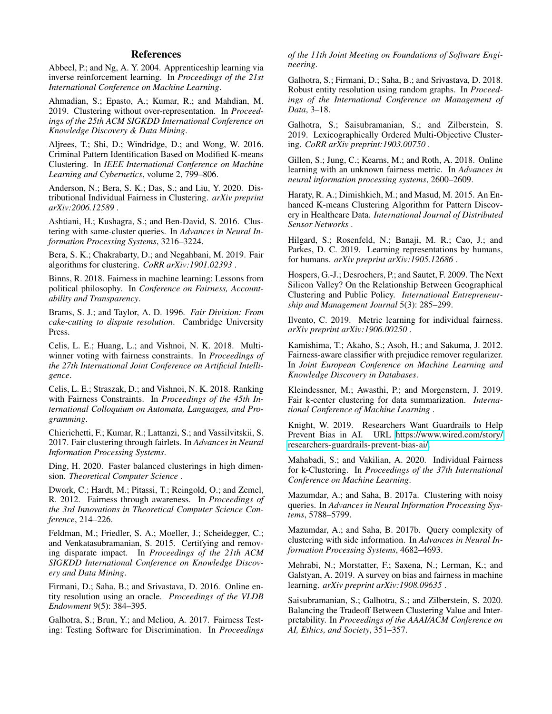# References

<span id="page-10-28"></span>Abbeel, P.; and Ng, A. Y. 2004. Apprenticeship learning via inverse reinforcement learning. In *Proceedings of the 21st International Conference on Machine Learning*.

<span id="page-10-5"></span>Ahmadian, S.; Epasto, A.; Kumar, R.; and Mahdian, M. 2019. Clustering without over-representation. In *Proceedings of the 25th ACM SIGKDD International Conference on Knowledge Discovery & Data Mining*.

<span id="page-10-2"></span>Aljrees, T.; Shi, D.; Windridge, D.; and Wong, W. 2016. Criminal Pattern Identification Based on Modified K-means Clustering. In *IEEE International Conference on Machine Learning and Cybernetics*, volume 2, 799–806.

<span id="page-10-4"></span>Anderson, N.; Bera, S. K.; Das, S.; and Liu, Y. 2020. Distributional Individual Fairness in Clustering. *arXiv preprint arXiv:2006.12589* .

<span id="page-10-23"></span>Ashtiani, H.; Kushagra, S.; and Ben-David, S. 2016. Clustering with same-cluster queries. In *Advances in Neural Information Processing Systems*, 3216–3224.

<span id="page-10-10"></span>Bera, S. K.; Chakrabarty, D.; and Negahbani, M. 2019. Fair algorithms for clustering. *CoRR arXiv:1901.02393* .

<span id="page-10-12"></span>Binns, R. 2018. Fairness in machine learning: Lessons from political philosophy. In *Conference on Fairness, Accountability and Transparency*.

<span id="page-10-11"></span>Brams, S. J.; and Taylor, A. D. 1996. *Fair Division: From cake-cutting to dispute resolution*. Cambridge University Press.

<span id="page-10-19"></span>Celis, L. E.; Huang, L.; and Vishnoi, N. K. 2018. Multiwinner voting with fairness constraints. In *Proceedings of the 27th International Joint Conference on Artificial Intelligence*.

<span id="page-10-18"></span>Celis, L. E.; Straszak, D.; and Vishnoi, N. K. 2018. Ranking with Fairness Constraints. In *Proceedings of the 45th International Colloquium on Automata, Languages, and Programming*.

<span id="page-10-3"></span>Chierichetti, F.; Kumar, R.; Lattanzi, S.; and Vassilvitskii, S. 2017. Fair clustering through fairlets. In *Advances in Neural Information Processing Systems*.

<span id="page-10-29"></span>Ding, H. 2020. Faster balanced clusterings in high dimension. *Theoretical Computer Science* .

<span id="page-10-16"></span>Dwork, C.; Hardt, M.; Pitassi, T.; Reingold, O.; and Zemel, R. 2012. Fairness through awareness. In *Proceedings of the 3rd Innovations in Theoretical Computer Science Conference*, 214–226.

<span id="page-10-14"></span>Feldman, M.; Friedler, S. A.; Moeller, J.; Scheidegger, C.; and Venkatasubramanian, S. 2015. Certifying and removing disparate impact. In *Proceedings of the 21th ACM SIGKDD International Conference on Knowledge Discovery and Data Mining*.

<span id="page-10-27"></span>Firmani, D.; Saha, B.; and Srivastava, D. 2016. Online entity resolution using an oracle. *Proceedings of the VLDB Endowment* 9(5): 384–395.

<span id="page-10-6"></span>Galhotra, S.; Brun, Y.; and Meliou, A. 2017. Fairness Testing: Testing Software for Discrimination. In *Proceedings* *of the 11th Joint Meeting on Foundations of Software Engineering*.

<span id="page-10-26"></span>Galhotra, S.; Firmani, D.; Saha, B.; and Srivastava, D. 2018. Robust entity resolution using random graphs. In *Proceedings of the International Conference on Management of Data*, 3–18.

<span id="page-10-30"></span>Galhotra, S.; Saisubramanian, S.; and Zilberstein, S. 2019. Lexicographically Ordered Multi-Objective Clustering. *CoRR arXiv preprint:1903.00750* .

<span id="page-10-21"></span>Gillen, S.; Jung, C.; Kearns, M.; and Roth, A. 2018. Online learning with an unknown fairness metric. In *Advances in neural information processing systems*, 2600–2609.

<span id="page-10-1"></span>Haraty, R. A.; Dimishkieh, M.; and Masud, M. 2015. An Enhanced K-means Clustering Algorithm for Pattern Discovery in Healthcare Data. *International Journal of Distributed Sensor Networks* .

<span id="page-10-20"></span>Hilgard, S.; Rosenfeld, N.; Banaji, M. R.; Cao, J.; and Parkes, D. C. 2019. Learning representations by humans, for humans. *arXiv preprint arXiv:1905.12686* .

<span id="page-10-0"></span>Hospers, G.-J.; Desrochers, P.; and Sautet, F. 2009. The Next Silicon Valley? On the Relationship Between Geographical Clustering and Public Policy. *International Entrepreneurship and Management Journal* 5(3): 285–299.

<span id="page-10-17"></span>Ilvento, C. 2019. Metric learning for individual fairness. *arXiv preprint arXiv:1906.00250* .

<span id="page-10-15"></span>Kamishima, T.; Akaho, S.; Asoh, H.; and Sakuma, J. 2012. Fairness-aware classifier with prejudice remover regularizer. In *Joint European Conference on Machine Learning and Knowledge Discovery in Databases*.

<span id="page-10-7"></span>Kleindessner, M.; Awasthi, P.; and Morgenstern, J. 2019. Fair k-center clustering for data summarization. *International Conference of Machine Learning* .

<span id="page-10-8"></span>Knight, W. 2019. Researchers Want Guardrails to Help Prevent Bias in AI. URL [https://www.wired.com/story/](https://www.wired.com/story/researchers-guardrails-prevent-bias-ai/) [researchers-guardrails-prevent-bias-ai/.](https://www.wired.com/story/researchers-guardrails-prevent-bias-ai/)

<span id="page-10-22"></span>Mahabadi, S.; and Vakilian, A. 2020. Individual Fairness for k-Clustering. In *Proceedings of the 37th International Conference on Machine Learning*.

<span id="page-10-24"></span>Mazumdar, A.; and Saha, B. 2017a. Clustering with noisy queries. In *Advances in Neural Information Processing Systems*, 5788–5799.

<span id="page-10-25"></span>Mazumdar, A.; and Saha, B. 2017b. Query complexity of clustering with side information. In *Advances in Neural Information Processing Systems*, 4682–4693.

<span id="page-10-13"></span>Mehrabi, N.; Morstatter, F.; Saxena, N.; Lerman, K.; and Galstyan, A. 2019. A survey on bias and fairness in machine learning. *arXiv preprint arXiv:1908.09635* .

<span id="page-10-9"></span>Saisubramanian, S.; Galhotra, S.; and Zilberstein, S. 2020. Balancing the Tradeoff Between Clustering Value and Interpretability. In *Proceedings of the AAAI/ACM Conference on AI, Ethics, and Society*, 351–357.